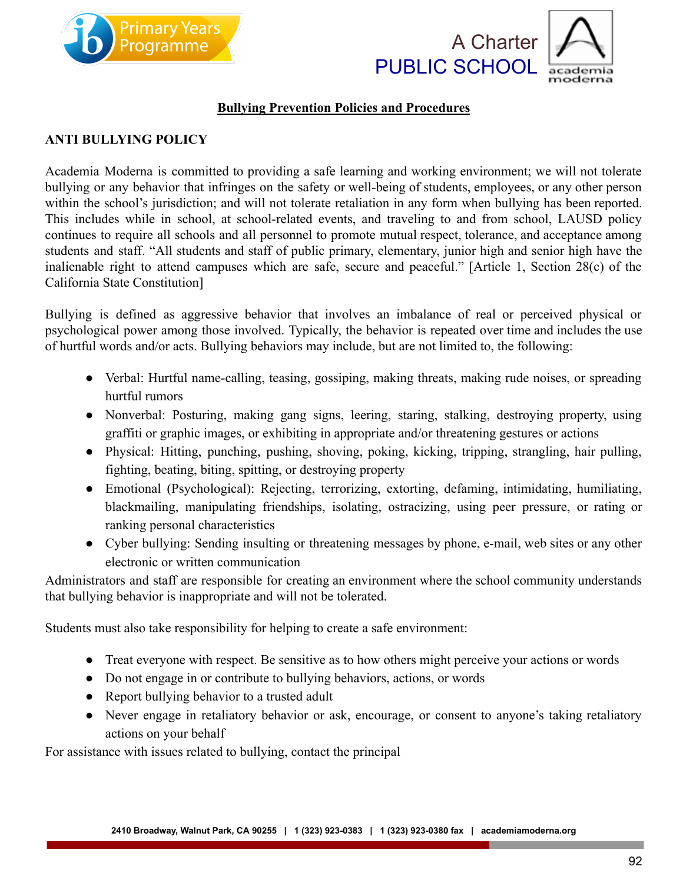





## **Bullying Prevention Policies and Procedures**

### **ANTI BULLYING POLICY**

Academia Moderna is committed to providing a safe learning and working environment; we will not tolerate bullying or any behavior that infringes on the safety or well-being of students, employees, or any other person within the school's jurisdiction; and will not tolerate retaliation in any form when bullying has been reported. This includes while in school, at school-related events, and traveling to and from school, LAUSD policy continues to require all schools and all personnel to promote mutual respect, tolerance, and acceptance among students and staff. "All students and staff of public primary, elementary, junior high and senior high have the inalienable right to attend campuses which are safe, secure and peaceful." [Article 1, Section 28(c) of the California State Constitution]

Bullying is defined as aggressive behavior that involves an imbalance of real or perceived physical or psychological power among those involved. Typically, the behavior is repeated over time and includes the use of hurtful words and/or acts. Bullying behaviors may include, but are not limited to, the following:

- Verbal: Hurtful name-calling, teasing, gossiping, making threats, making rude noises, or spreading hurtful rumors
- Nonverbal: Posturing, making gang signs, leering, staring, stalking, destroying property, using graffiti or graphic images, or exhibiting in appropriate and/or threatening gestures or actions
- Physical: Hitting, punching, pushing, shoving, poking, kicking, tripping, strangling, hair pulling, fighting, beating, biting, spitting, or destroying property
- Emotional (Psychological): Rejecting, terrorizing, extorting, defaming, intimidating, humiliating, blackmailing, manipulating friendships, isolating, ostracizing, using peer pressure, or rating or ranking personal characteristics
- Cyber bullying: Sending insulting or threatening messages by phone, e-mail, web sites or any other electronic or written communication

Administrators and staff are responsible for creating an environment where the school community understands that bullying behavior is inappropriate and will not be tolerated.

Students must also take responsibility for helping to create a safe environment:

- Treat everyone with respect. Be sensitive as to how others might perceive your actions or words
- Do not engage in or contribute to bullying behaviors, actions, or words
- Report bullying behavior to a trusted adult
- Never engage in retaliatory behavior or ask, encourage, or consent to anyone's taking retaliatory actions on your behalf

For assistance with issues related to bullying, contact the principal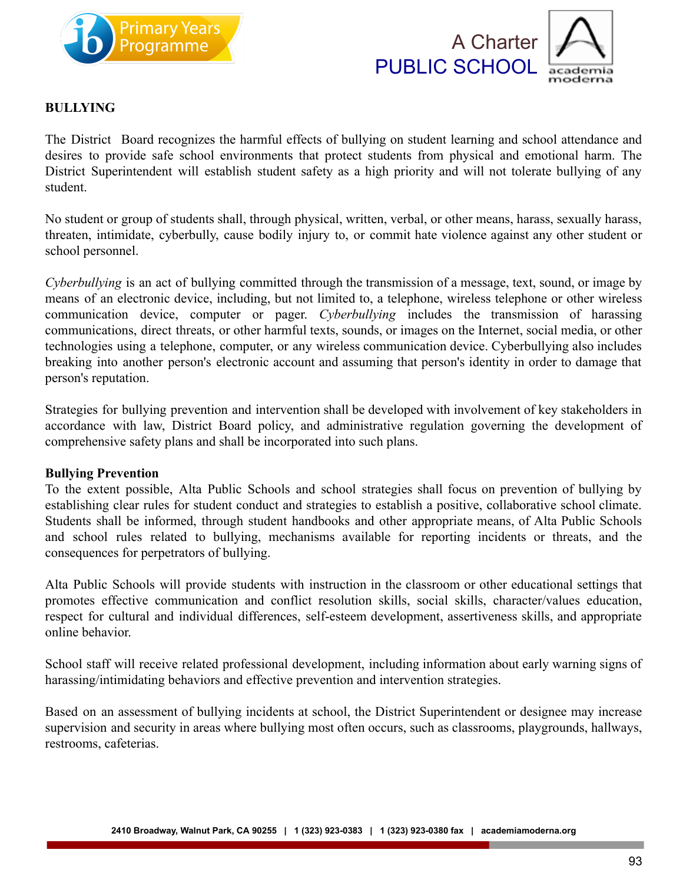



#### **BULLYING**

The District Board recognizes the harmful effects of bullying on student learning and school attendance and desires to provide safe school environments that protect students from physical and emotional harm. The District Superintendent will establish student safety as a high priority and will not tolerate bullying of any student.

No student or group of students shall, through physical, written, verbal, or other means, harass, sexually harass, threaten, intimidate, cyberbully, cause bodily injury to, or commit hate violence against any other student or school personnel.

*Cyberbullying* is an act of bullying committed through the transmission of a message, text, sound, or image by means of an electronic device, including, but not limited to, a telephone, wireless telephone or other wireless communication device, computer or pager. *Cyberbullying* includes the transmission of harassing communications, direct threats, or other harmful texts, sounds, or images on the Internet, social media, or other technologies using a telephone, computer, or any wireless communication device. Cyberbullying also includes breaking into another person's electronic account and assuming that person's identity in order to damage that person's reputation.

Strategies for bullying prevention and intervention shall be developed with involvement of key stakeholders in accordance with law, District Board policy, and administrative regulation governing the development of comprehensive safety plans and shall be incorporated into such plans.

#### **Bullying Prevention**

To the extent possible, Alta Public Schools and school strategies shall focus on prevention of bullying by establishing clear rules for student conduct and strategies to establish a positive, collaborative school climate. Students shall be informed, through student handbooks and other appropriate means, of Alta Public Schools and school rules related to bullying, mechanisms available for reporting incidents or threats, and the consequences for perpetrators of bullying.

Alta Public Schools will provide students with instruction in the classroom or other educational settings that promotes effective communication and conflict resolution skills, social skills, character/values education, respect for cultural and individual differences, self-esteem development, assertiveness skills, and appropriate online behavior.

School staff will receive related professional development, including information about early warning signs of harassing/intimidating behaviors and effective prevention and intervention strategies.

Based on an assessment of bullying incidents at school, the District Superintendent or designee may increase supervision and security in areas where bullying most often occurs, such as classrooms, playgrounds, hallways, restrooms, cafeterias.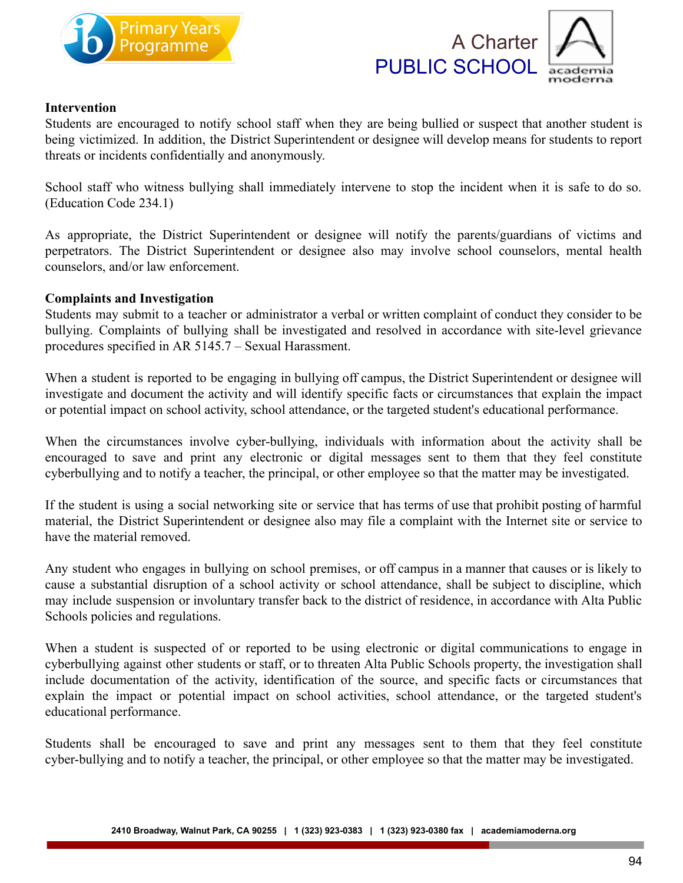





#### **Intervention**

Students are encouraged to notify school staff when they are being bullied or suspect that another student is being victimized. In addition, the District Superintendent or designee will develop means for students to report threats or incidents confidentially and anonymously.

School staff who witness bullying shall immediately intervene to stop the incident when it is safe to do so. (Education Code 234.1)

As appropriate, the District Superintendent or designee will notify the parents/guardians of victims and perpetrators. The District Superintendent or designee also may involve school counselors, mental health counselors, and/or law enforcement.

#### **Complaints and Investigation**

Students may submit to a teacher or administrator a verbal or written complaint of conduct they consider to be bullying. Complaints of bullying shall be investigated and resolved in accordance with site-level grievance procedures specified in AR 5145.7 – Sexual Harassment.

When a student is reported to be engaging in bullying off campus, the District Superintendent or designee will investigate and document the activity and will identify specific facts or circumstances that explain the impact or potential impact on school activity, school attendance, or the targeted student's educational performance.

When the circumstances involve cyber-bullying, individuals with information about the activity shall be encouraged to save and print any electronic or digital messages sent to them that they feel constitute cyberbullying and to notify a teacher, the principal, or other employee so that the matter may be investigated.

If the student is using a social networking site or service that has terms of use that prohibit posting of harmful material, the District Superintendent or designee also may file a complaint with the Internet site or service to have the material removed.

Any student who engages in bullying on school premises, or off campus in a manner that causes or is likely to cause a substantial disruption of a school activity or school attendance, shall be subject to discipline, which may include suspension or involuntary transfer back to the district of residence, in accordance with Alta Public Schools policies and regulations.

When a student is suspected of or reported to be using electronic or digital communications to engage in cyberbullying against other students or staff, or to threaten Alta Public Schools property, the investigation shall include documentation of the activity, identification of the source, and specific facts or circumstances that explain the impact or potential impact on school activities, school attendance, or the targeted student's educational performance.

Students shall be encouraged to save and print any messages sent to them that they feel constitute cyber-bullying and to notify a teacher, the principal, or other employee so that the matter may be investigated.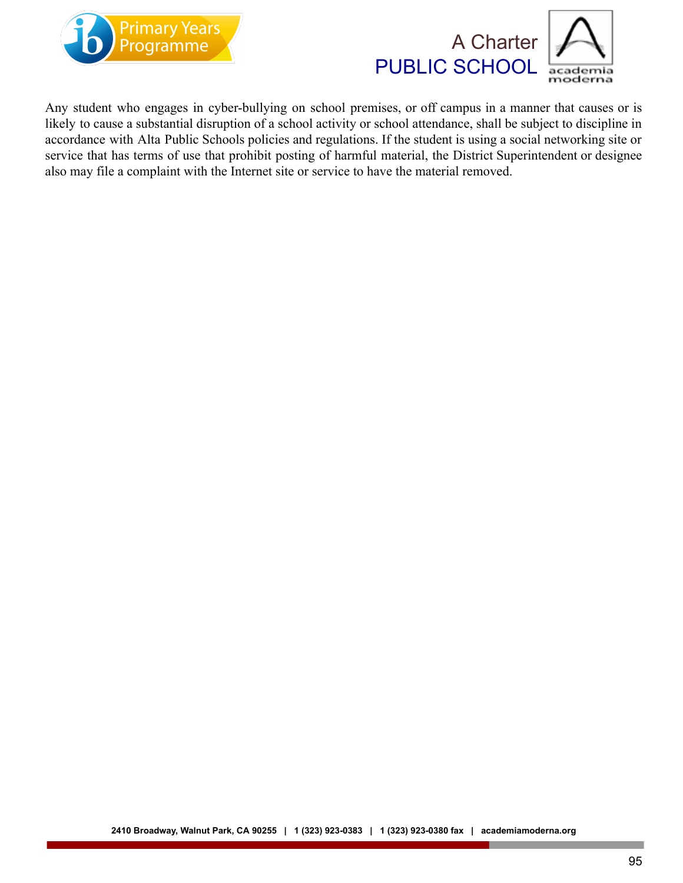



Any student who engages in cyber-bullying on school premises, or off campus in a manner that causes or is likely to cause a substantial disruption of a school activity or school attendance, shall be subject to discipline in accordance with Alta Public Schools policies and regulations. If the student is using a social networking site or service that has terms of use that prohibit posting of harmful material, the District Superintendent or designee also may file a complaint with the Internet site or service to have the material removed.